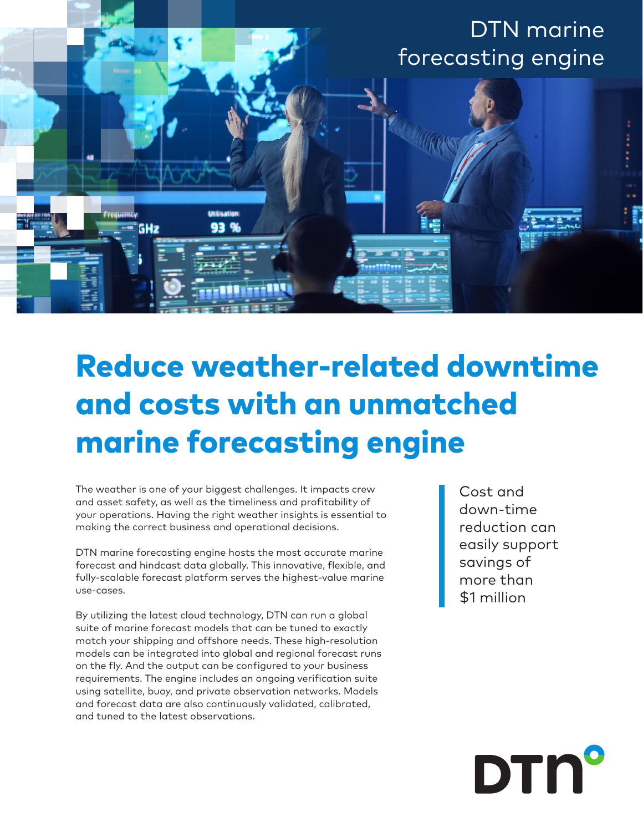

## Reduce weather-related downtime and costs with an unmatched marine forecasting engine

The weather is one of your biggest challenges. It impacts crew and asset safety, as well as the timeliness and profitability of your operations. Having the right weather insights is essential to making the correct business and operational decisions.

DTN marine forecasting engine hosts the most accurate marine forecast and hindcast data globally. This innovative, flexible, and fully-scalable forecast platform serves the highest-value marine use-cases.

By utilizing the latest cloud technology, DTN can run a global suite of marine forecast models that can be tuned to exactly match your shipping and offshore needs. These high-resolution models can be integrated into global and regional forecast runs on the fly. And the output can be configured to your business requirements. The engine includes an ongoing verification suite using satellite, buoy, and private observation networks. Models and forecast data are also continuously validated, calibrated, and tuned to the latest observations.

Cost and down-time reduction can easily support savings of more than \$1 million